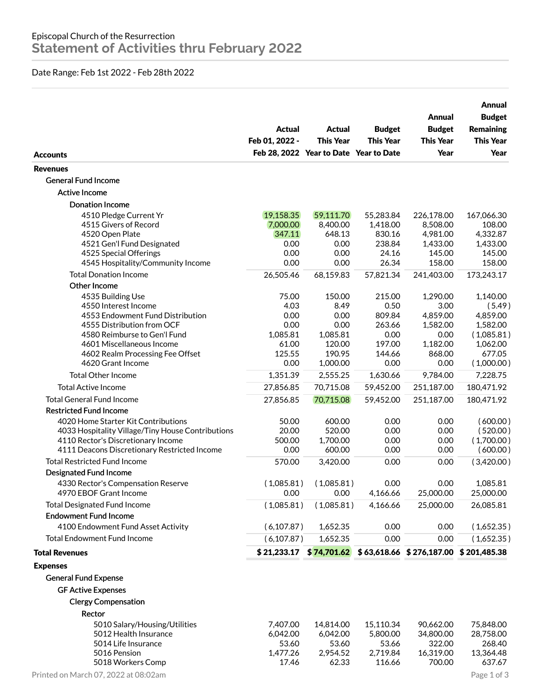## Date Range: Feb 1st 2022 - Feb 28th 2022

|                                                              | Actual<br>Feb 01, 2022 -               | Actual<br><b>This Year</b> | <b>Budget</b><br><b>This Year</b> | Annual<br><b>Budget</b><br><b>This Year</b><br>Year | Annual<br><b>Budget</b><br><b>Remaining</b><br><b>This Year</b><br>Year |
|--------------------------------------------------------------|----------------------------------------|----------------------------|-----------------------------------|-----------------------------------------------------|-------------------------------------------------------------------------|
| <b>Accounts</b>                                              | Feb 28, 2022 Year to Date Year to Date |                            |                                   |                                                     |                                                                         |
| <b>Revenues</b>                                              |                                        |                            |                                   |                                                     |                                                                         |
| <b>General Fund Income</b>                                   |                                        |                            |                                   |                                                     |                                                                         |
| Active Income                                                |                                        |                            |                                   |                                                     |                                                                         |
| <b>Donation Income</b>                                       |                                        |                            |                                   |                                                     |                                                                         |
| 4510 Pledge Current Yr                                       | 19,158.35                              | 59,111.70                  | 55,283.84                         | 226,178.00                                          | 167,066.30                                                              |
| 4515 Givers of Record<br>4520 Open Plate                     | 7,000.00<br>347.11                     | 8,400.00<br>648.13         | 1,418.00<br>830.16                | 8,508.00<br>4,981.00                                | 108.00<br>4,332.87                                                      |
| 4521 Gen'l Fund Designated                                   | 0.00                                   | 0.00                       | 238.84                            | 1,433.00                                            | 1,433.00                                                                |
| 4525 Special Offerings                                       | 0.00                                   | 0.00                       | 24.16                             | 145.00                                              | 145.00                                                                  |
| 4545 Hospitality/Community Income                            | 0.00                                   | 0.00                       | 26.34                             | 158.00                                              | 158.00                                                                  |
| <b>Total Donation Income</b>                                 | 26,505.46                              | 68,159.83                  | 57,821.34                         | 241,403.00                                          | 173,243.17                                                              |
| Other Income                                                 |                                        |                            |                                   |                                                     |                                                                         |
| 4535 Building Use                                            | 75.00                                  | 150.00                     | 215.00                            | 1,290.00                                            | 1,140.00                                                                |
| 4550 Interest Income                                         | 4.03                                   | 8.49                       | 0.50                              | 3.00                                                | (5.49)                                                                  |
| 4553 Endowment Fund Distribution                             | 0.00                                   | 0.00                       | 809.84                            | 4,859.00                                            | 4,859.00                                                                |
| 4555 Distribution from OCF<br>4580 Reimburse to Gen'l Fund   | 0.00<br>1,085.81                       | 0.00<br>1,085.81           | 263.66<br>0.00                    | 1,582.00<br>0.00                                    | 1,582.00<br>(1,085.81)                                                  |
| 4601 Miscellaneous Income                                    | 61.00                                  | 120.00                     | 197.00                            | 1,182.00                                            | 1,062.00                                                                |
| 4602 Realm Processing Fee Offset                             | 125.55                                 | 190.95                     | 144.66                            | 868.00                                              | 677.05                                                                  |
| 4620 Grant Income                                            | 0.00                                   | 1,000.00                   | 0.00                              | 0.00                                                | (1,000.00)                                                              |
| <b>Total Other Income</b>                                    | 1,351.39                               | 2,555.25                   | 1,630.66                          | 9,784.00                                            | 7,228.75                                                                |
| <b>Total Active Income</b>                                   | 27,856.85                              | 70,715.08                  | 59,452.00                         | 251,187.00                                          | 180,471.92                                                              |
| <b>Total General Fund Income</b>                             | 27,856.85                              | 70,715.08                  | 59,452.00                         | 251,187.00                                          | 180,471.92                                                              |
| <b>Restricted Fund Income</b>                                |                                        |                            |                                   |                                                     |                                                                         |
| 4020 Home Starter Kit Contributions                          | 50.00                                  | 600.00                     | 0.00                              | 0.00                                                | (600.00)                                                                |
| 4033 Hospitality Village/Tiny House Contributions            | 20.00                                  | 520.00                     | 0.00                              | 0.00                                                | (520.00)                                                                |
| 4110 Rector's Discretionary Income                           | 500.00                                 | 1,700.00                   | 0.00                              | 0.00                                                | (1,700.00)                                                              |
| 4111 Deacons Discretionary Restricted Income                 | 0.00                                   | 600.00                     | 0.00                              | 0.00                                                | (600.00)                                                                |
| <b>Total Restricted Fund Income</b>                          | 570.00                                 | 3,420.00                   | 0.00                              | 0.00                                                | (3,420.00)                                                              |
| <b>Designated Fund Income</b>                                |                                        |                            |                                   |                                                     |                                                                         |
| 4330 Rector's Compensation Reserve<br>4970 EBOF Grant Income | (1,085.81)<br>0.00                     | (1,085.81)<br>0.00         | 0.00<br>4,166.66                  | 0.00<br>25,000.00                                   | 1,085.81<br>25,000.00                                                   |
| <b>Total Designated Fund Income</b>                          | (1,085.81)                             | (1,085.81)                 | 4,166.66                          | 25,000.00                                           | 26,085.81                                                               |
| <b>Endowment Fund Income</b>                                 |                                        |                            |                                   |                                                     |                                                                         |
| 4100 Endowment Fund Asset Activity                           | (6, 107.87)                            | 1,652.35                   | 0.00                              | 0.00                                                | (1,652.35)                                                              |
| <b>Total Endowment Fund Income</b>                           | (6, 107.87)                            | 1,652.35                   | 0.00                              | 0.00                                                | (1,652.35)                                                              |
| <b>Total Revenues</b>                                        |                                        | $$21,233.17$ $$74,701.62$  |                                   | $$63,618.66 \$276,187.00 \$201,485.38$              |                                                                         |
|                                                              |                                        |                            |                                   |                                                     |                                                                         |
| <b>Expenses</b>                                              |                                        |                            |                                   |                                                     |                                                                         |
| <b>General Fund Expense</b>                                  |                                        |                            |                                   |                                                     |                                                                         |
| <b>GF Active Expenses</b>                                    |                                        |                            |                                   |                                                     |                                                                         |
| <b>Clergy Compensation</b>                                   |                                        |                            |                                   |                                                     |                                                                         |
| Rector                                                       |                                        |                            |                                   |                                                     |                                                                         |
| 5010 Salary/Housing/Utilities                                | 7,407.00                               | 14,814.00                  | 15,110.34                         | 90,662.00                                           | 75,848.00                                                               |
| 5012 Health Insurance                                        | 6,042.00                               | 6,042.00                   | 5,800.00                          | 34,800.00                                           | 28,758.00                                                               |
| 5014 Life Insurance<br>5016 Pension                          | 53.60<br>1,477.26                      | 53.60<br>2,954.52          | 53.66<br>2,719.84                 | 322.00<br>16,319.00                                 | 268.40<br>13,364.48                                                     |
| 5018 Workers Comp                                            | 17.46                                  | 62.33                      | 116.66                            | 700.00                                              | 637.67                                                                  |
| Printed on March 07, 2022 at 08:02am                         |                                        |                            |                                   |                                                     | Page 1 of 3                                                             |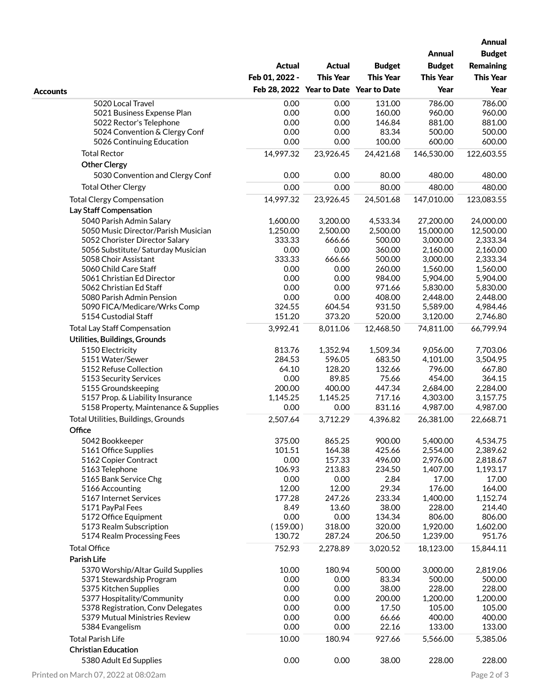|                                       |                |                                        |                  |                  | <b>Annual</b><br><b>Budget</b> |
|---------------------------------------|----------------|----------------------------------------|------------------|------------------|--------------------------------|
|                                       |                |                                        |                  | <b>Annual</b>    |                                |
|                                       | <b>Actual</b>  | <b>Actual</b>                          | <b>Budget</b>    | <b>Budget</b>    | <b>Remaining</b>               |
|                                       | Feb 01, 2022 - | <b>This Year</b>                       | <b>This Year</b> | <b>This Year</b> | <b>This Year</b>               |
| <b>Accounts</b>                       |                | Feb 28, 2022 Year to Date Year to Date |                  | Year             | Year                           |
| 5020 Local Travel                     | 0.00           | 0.00                                   | 131.00           | 786.00           | 786.00                         |
| 5021 Business Expense Plan            | 0.00           | 0.00                                   | 160.00           | 960.00           | 960.00                         |
| 5022 Rector's Telephone               | 0.00           | 0.00                                   | 146.84           | 881.00           | 881.00                         |
| 5024 Convention & Clergy Conf         | 0.00           | 0.00                                   | 83.34            | 500.00           | 500.00                         |
| 5026 Continuing Education             | 0.00           | 0.00                                   | 100.00           | 600.00           | 600.00                         |
| <b>Total Rector</b>                   | 14,997.32      | 23,926.45                              | 24,421.68        | 146,530.00       | 122,603.55                     |
| <b>Other Clergy</b>                   |                |                                        |                  |                  |                                |
| 5030 Convention and Clergy Conf       | 0.00           | 0.00                                   | 80.00            | 480.00           | 480.00                         |
| <b>Total Other Clergy</b>             | 0.00           | 0.00                                   | 80.00            | 480.00           | 480.00                         |
| <b>Total Clergy Compensation</b>      | 14,997.32      | 23,926.45                              | 24,501.68        | 147,010.00       | 123,083.55                     |
| Lay Staff Compensation                |                |                                        |                  |                  |                                |
| 5040 Parish Admin Salary              | 1,600.00       | 3,200.00                               | 4,533.34         | 27,200.00        | 24,000.00                      |
| 5050 Music Director/Parish Musician   | 1,250.00       | 2,500.00                               | 2,500.00         | 15,000.00        | 12,500.00                      |
| 5052 Chorister Director Salary        | 333.33         | 666.66                                 | 500.00           | 3,000.00         | 2,333.34                       |
| 5056 Substitute/ Saturday Musician    | 0.00           | 0.00                                   | 360.00           | 2,160.00         | 2,160.00                       |
| 5058 Choir Assistant                  | 333.33         | 666.66                                 | 500.00           | 3,000.00         | 2,333.34                       |
| 5060 Child Care Staff                 | 0.00           | 0.00                                   | 260.00           | 1,560.00         | 1,560.00                       |
| 5061 Christian Ed Director            | 0.00           | 0.00                                   | 984.00           | 5,904.00         | 5,904.00                       |
| 5062 Christian Ed Staff               | 0.00           | 0.00                                   | 971.66           | 5,830.00         | 5,830.00                       |
| 5080 Parish Admin Pension             | 0.00           | 0.00                                   | 408.00           | 2,448.00         | 2,448.00                       |
| 5090 FICA/Medicare/Wrks Comp          | 324.55         | 604.54                                 | 931.50           | 5,589.00         | 4,984.46                       |
| 5154 Custodial Staff                  | 151.20         | 373.20                                 | 520.00           | 3,120.00         | 2,746.80                       |
| <b>Total Lay Staff Compensation</b>   | 3,992.41       | 8,011.06                               | 12,468.50        | 74,811.00        | 66,799.94                      |
| Utilities, Buildings, Grounds         |                |                                        |                  |                  |                                |
| 5150 Electricity                      | 813.76         | 1,352.94                               | 1,509.34         | 9,056.00         | 7,703.06                       |
| 5151 Water/Sewer                      | 284.53         | 596.05                                 | 683.50           | 4,101.00         | 3,504.95                       |
| 5152 Refuse Collection                | 64.10          | 128.20                                 | 132.66           | 796.00           | 667.80                         |
| 5153 Security Services                | 0.00           | 89.85                                  | 75.66            | 454.00           | 364.15                         |
| 5155 Groundskeeping                   | 200.00         | 400.00                                 | 447.34           | 2,684.00         | 2,284.00                       |
| 5157 Prop. & Liability Insurance      | 1,145.25       | 1,145.25                               | 717.16           | 4,303.00         | 3,157.75                       |
| 5158 Property, Maintenance & Supplies | 0.00           | 0.00                                   | 831.16           | 4,987.00         | 4,987.00                       |
| Total Utilities, Buildings, Grounds   | 2,507.64       | 3,712.29                               | 4,396.82         | 26,381.00        | 22,668.71                      |
| Office                                |                |                                        |                  |                  |                                |
| 5042 Bookkeeper                       | 375.00         | 865.25                                 | 900.00           | 5,400.00         | 4,534.75                       |
| 5161 Office Supplies                  | 101.51         | 164.38                                 | 425.66           | 2,554.00         | 2,389.62                       |
| 5162 Copier Contract                  | 0.00           | 157.33                                 | 496.00           | 2,976.00         | 2,818.67                       |
| 5163 Telephone                        | 106.93         | 213.83                                 | 234.50           | 1,407.00         | 1,193.17                       |
| 5165 Bank Service Chg                 | 0.00           | 0.00                                   | 2.84             | 17.00            | 17.00                          |
| 5166 Accounting                       | 12.00          | 12.00                                  | 29.34            | 176.00           | 164.00                         |
| 5167 Internet Services                | 177.28         | 247.26                                 | 233.34           | 1,400.00         | 1,152.74                       |
| 5171 PayPal Fees                      | 8.49           | 13.60                                  | 38.00            | 228.00           | 214.40                         |
| 5172 Office Equipment                 | 0.00           | 0.00                                   | 134.34           | 806.00           | 806.00                         |
| 5173 Realm Subscription               | (159.00)       | 318.00                                 | 320.00           | 1,920.00         | 1,602.00                       |
| 5174 Realm Processing Fees            | 130.72         | 287.24                                 | 206.50           | 1,239.00         | 951.76                         |
| <b>Total Office</b>                   | 752.93         | 2,278.89                               | 3,020.52         | 18,123.00        | 15,844.11                      |
| Parish Life                           |                |                                        |                  |                  |                                |
| 5370 Worship/Altar Guild Supplies     | 10.00          | 180.94                                 | 500.00           | 3,000.00         | 2,819.06                       |
| 5371 Stewardship Program              | 0.00           | 0.00                                   | 83.34            | 500.00           | 500.00                         |
| 5375 Kitchen Supplies                 | 0.00           | 0.00                                   | 38.00            | 228.00           | 228.00                         |
| 5377 Hospitality/Community            | 0.00           | 0.00                                   | 200.00           | 1,200.00         | 1,200.00                       |
| 5378 Registration, Conv Delegates     | 0.00           | 0.00                                   | 17.50            | 105.00           | 105.00                         |
| 5379 Mutual Ministries Review         | 0.00           | 0.00                                   | 66.66            | 400.00           | 400.00                         |
| 5384 Evangelism                       | 0.00           | 0.00                                   | 22.16            | 133.00           | 133.00                         |
| <b>Total Parish Life</b>              | 10.00          | 180.94                                 | 927.66           | 5,566.00         | 5,385.06                       |
| <b>Christian Education</b>            |                |                                        |                  |                  |                                |
|                                       |                |                                        |                  |                  |                                |
| 5380 Adult Ed Supplies                | 0.00           | 0.00                                   | 38.00            | 228.00           | 228.00                         |